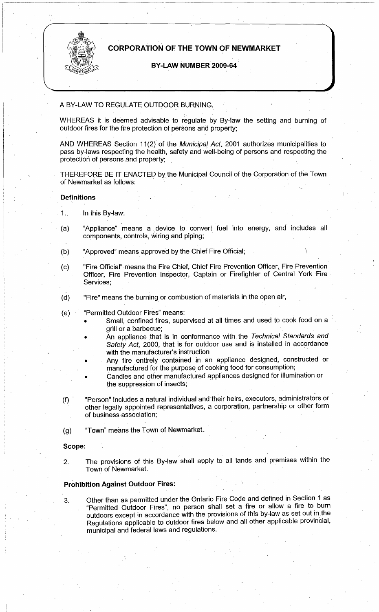

# **CORPORATION OF THE TOWN OF NEWMARKET**

# **BY-LAW NUMBER 2009-64**

### A BY-LAW TO REGULATE OUTDOOR BURNING,

WHEREAS it is deemed advisable to regulate by By-law the setting and burning of outdoor fires for the fire protection of persons and property;

AND WHEREAS Section 11(2) of the Municipal Act, 2001 authorizes municipalities to pass by-laws respecting the health, safety and well-being of persons and respecting the protection of persons and property;

THEREFORE BE IT ENACTED by the Municipal Council of the Corporation of the Town of Newmarket as follows:

#### **Definitions**  '

- 1. In this By-law:
- (a) "Appliance" means a device to convert fuel into energy, and includes all components, controls, wiring and piping;
- (b) "Approved" means approved by the Chief Fire Official;
- (c) "Fire Official" means the Fire Chief, Chief Fire Prevention Officer, Fire Prevention Officer, Fire Prevention Inspector, Captain or Firefighter of Central York Fire Services;
- (d) "Fire" means the burning or combustion of materials in the open air,
- (e) "Permitted Outdoor Fires" means:
	- Small, confined fires, supervised at all times and used to cook food on a grill or a barbecue;
	- An appliance that is in conformance with the Technical Standards and Safety Act, 2000, that is for outdoor use and is installed in accordance with the manufacturer's instruction
	- Any fire entirely contained in an appliance designed, constructed or manufactured for the purpose of cooking food for consumption;
	- Candles and other manufactured appliances designed for illumination or the suppression of insects;
- (f) · "Person" includes a natural individual and their heirs, executors, administrators or other legally appointed representatives, a corporation, partnership or other form of business association;
- (g) "Town" means the Town of Newmarket.

**Scope:** 

2. The provisions of this By-law shall apply to all lands and premises within the Town of Newmarket.

# **Prohibition Against Outdoor Fires:**

3. Other than as permitted under the Ontario Fire Code and defined in Section 1 as "Permitted Outdoor Fires", no person shall set a fire or allow a fire to burn outdoors except in accordance with the provisions of this by-law as set out in the Regulations applicable to outdoor fires below and all other applicable provincial, municipal and federal laws and regulations.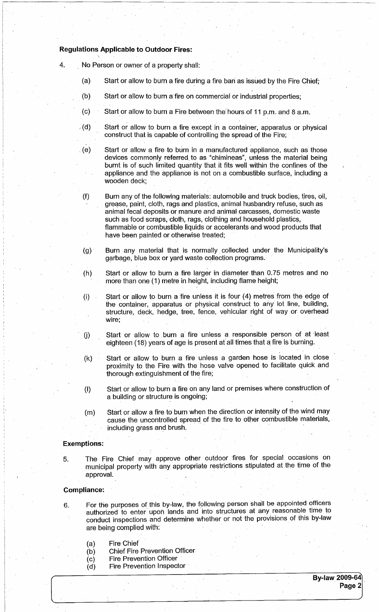# **·Regulations Applicable to Outdoor Fires:**

- 4. . No Person or owner of a property shall:
	- (a) Start or allow to burn a fire during a fire ban· as issued by the Fire Chief;
	- (b) Start or allow to burn a· fire on commercial or industrial properties;
	- (c) Start or allow to burn a Fire between the hours of 11 p.m. and 8 a.m.
	- $\mathcal{L}(\mathsf{d})$  Start or allow to burn a fire except in a container, apparatus or physical construct that is capable of controlling the spread of the Fire;
	- . (e) Start or allow a fire to burn in a manufactured appliance, such as those devices commonly referred. to as "chimineas", unless the material being burnt is of such limited quantity that it fits well. within the confines of the appliance and the appliance is not on a combustible surface, including a wooden deck;
	- (f) Burn any of the following materials: automobile and truck bodies, tires, oil, grease, paint, cloth, rags and plastics, animal husbandry refuse, such as animal fecal deposits or manure and animal carcasses, domestic waste such as food scraps, cloth, rags, clothing and household plastics, flammable or combustible liquids or accelerants and wood products that have been painted or otherwise treated;
	- (g) Burn any material that is normally collected under the Municipality's garbage, blue box or yard waste collection programs.
	- (h) Start or allow to burn a fire larger in diameter than  $0.75$  metres and no more than one (1) metre in height, including flame height;
	- (i) Start or allow to burn a fire unless it is four (4) metres from the edge of the container, apparatus or physical construct to any lot line, building, structure, deck, hedge, tree, fence, vehicular right of way or overhead wire;
	- (j) Start or allow to burn a fire unless a responsible person of at least eighteen (18) years of age is present at all times that a fire is burning.
	- (k) Start or allow to burn a fire unless a garden hose is located in close proximity to the Fire with the hose valve opened to facilitate quick and thorough extinguishment of the fire;
	- (I) Start or allow to burn a fire on any land or premises where construction of a building or structure is ongoing;
	- (m) Start or allow a fire to burn when the direction or intensity of the wind may cause the uncontrolled spread of the fire to other combustible materials, including grass and brush.

### **Exemptions:**

5. The Fire Chief may approve other outdoor fires for special occasions on municipal property with any appropriate restrictions stipulated at the time of theapproval.

### **Compliance:**

- 6. For the purposes of this by-law, the following person shall be appointed officers authorized to enter upon lands and into structures at any reasonable time to conduct inspections and determine whether or not the provisions of this by-law are being complied with:
	- (a) Fire Chief
	- (b) Chief Fire Prevention Officer
	- $(c)$  Fire Prevention Officer
	- $(d)$  Fire Prevention Inspector